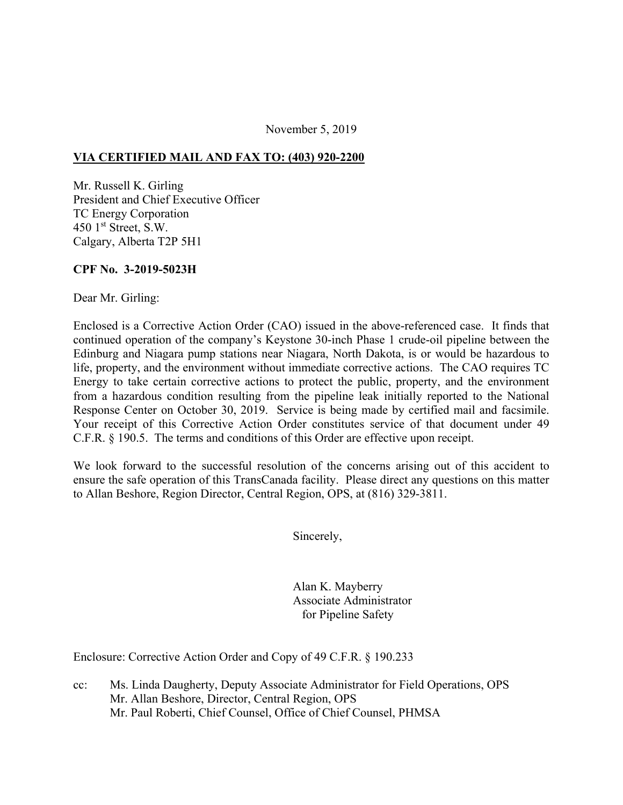#### November 5, 2019

### **VIA CERTIFIED MAIL AND FAX TO: (403) 920-2200**

Mr. Russell K. Girling President and Chief Executive Officer TC Energy Corporation 450  $1<sup>st</sup>$  Street, S.W. Calgary, Alberta T2P 5H1

### **CPF No. 3-2019-5023H**

Dear Mr. Girling:

Enclosed is a Corrective Action Order (CAO) issued in the above-referenced case. It finds that continued operation of the company's Keystone 30-inch Phase 1 crude-oil pipeline between the Edinburg and Niagara pump stations near Niagara, North Dakota, is or would be hazardous to life, property, and the environment without immediate corrective actions. The CAO requires TC Energy to take certain corrective actions to protect the public, property, and the environment from a hazardous condition resulting from the pipeline leak initially reported to the National Response Center on October 30, 2019. Service is being made by certified mail and facsimile. Your receipt of this Corrective Action Order constitutes service of that document under 49 C.F.R. § 190.5. The terms and conditions of this Order are effective upon receipt.

We look forward to the successful resolution of the concerns arising out of this accident to ensure the safe operation of this TransCanada facility. Please direct any questions on this matter to Allan Beshore, Region Director, Central Region, OPS, at (816) 329-3811.

Sincerely,

Alan K. Mayberry Associate Administrator for Pipeline Safety

Enclosure: Corrective Action Order and Copy of 49 C.F.R. § 190.233

cc: Ms. Linda Daugherty, Deputy Associate Administrator for Field Operations, OPS Mr. Allan Beshore, Director, Central Region, OPS Mr. Paul Roberti, Chief Counsel, Office of Chief Counsel, PHMSA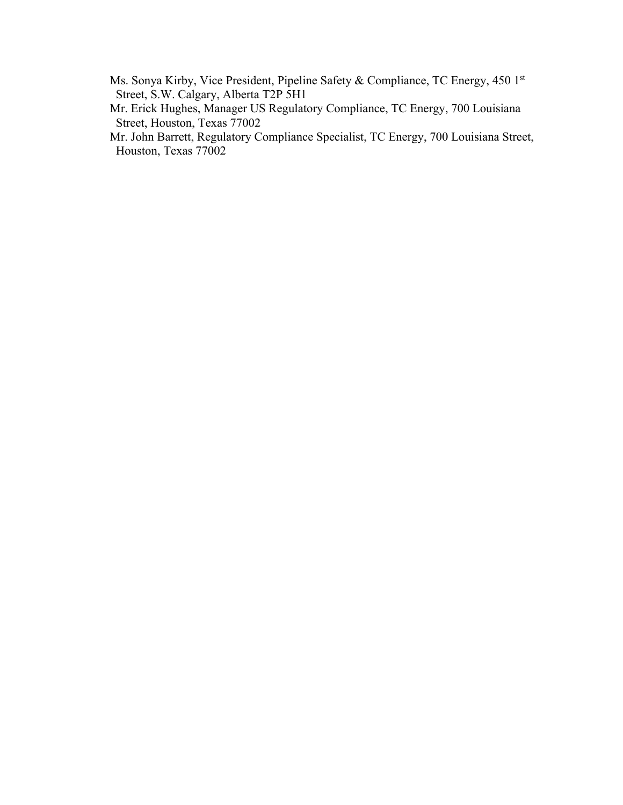- Ms. Sonya Kirby, Vice President, Pipeline Safety & Compliance, TC Energy, 450 1st Street, S.W. Calgary, Alberta T2P 5H1
- Mr. Erick Hughes, Manager US Regulatory Compliance, TC Energy, 700 Louisiana Street, Houston, Texas 77002
- Mr. John Barrett, Regulatory Compliance Specialist, TC Energy, 700 Louisiana Street, Houston, Texas 77002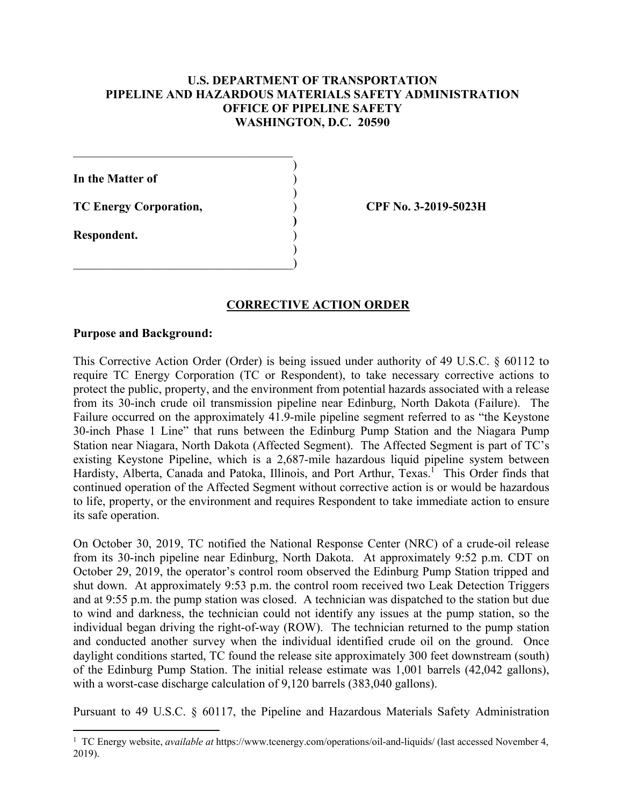## **U.S. DEPARTMENT OF TRANSPORTATION PIPELINE AND HAZARDOUS MATERIALS SAFETY ADMINISTRATION OFFICE OF PIPELINE SAFETY WASHINGTON, D.C. 20590**

)

)

) **)**  ) )

**In the Matter of** )

**TC Energy Corporation,** 

 $\qquad \qquad \Box$ 

**Respondent.** 

**CPF No. 3-2019-5023H** 

# **CORRECTIVE ACTION ORDER**

### **Purpose and Background:**

This Corrective Action Order (Order) is being issued under authority of 49 U.S.C. § 60112 to require TC Energy Corporation (TC or Respondent), to take necessary corrective actions to protect the public, property, and the environment from potential hazards associated with a release from its 30-inch crude oil transmission pipeline near Edinburg, North Dakota (Failure). The Failure occurred on the approximately 41.9-mile pipeline segment referred to as "the Keystone 30-inch Phase 1 Line" that runs between the Edinburg Pump Station and the Niagara Pump Station near Niagara, North Dakota (Affected Segment). The Affected Segment is part of TC's existing Keystone Pipeline, which is a 2,687-mile hazardous liquid pipeline system between Hardisty, Alberta, Canada and Patoka, Illinois, and Port Arthur, Texas.<sup>1</sup> This Order finds that continued operation of the Affected Segment without corrective action is or would be hazardous to life, property, or the environment and requires Respondent to take immediate action to ensure its safe operation.

On October 30, 2019, TC notified the National Response Center (NRC) of a crude-oil release from its 30-inch pipeline near Edinburg, North Dakota. At approximately 9:52 p.m. CDT on October 29, 2019, the operator's control room observed the Edinburg Pump Station tripped and shut down. At approximately 9:53 p.m. the control room received two Leak Detection Triggers and at 9:55 p.m. the pump station was closed. A technician was dispatched to the station but due to wind and darkness, the technician could not identify any issues at the pump station, so the individual began driving the right-of-way (ROW). The technician returned to the pump station and conducted another survey when the individual identified crude oil on the ground. Once daylight conditions started, TC found the release site approximately 300 feet downstream (south) of the Edinburg Pump Station. The initial release estimate was 1,001 barrels (42,042 gallons), with a worst-case discharge calculation of 9,120 barrels (383,040 gallons).

Pursuant to 49 U.S.C. § 60117, the Pipeline and Hazardous Materials Safety Administration

<sup>&</sup>lt;sup>1</sup> TC Energy website, *available at* [https://www.tcenergy.com/operations/oil-and-liquids/](https://www.tcenergy.com/operations/oil-and-liquids) (last accessed November 4, 2019).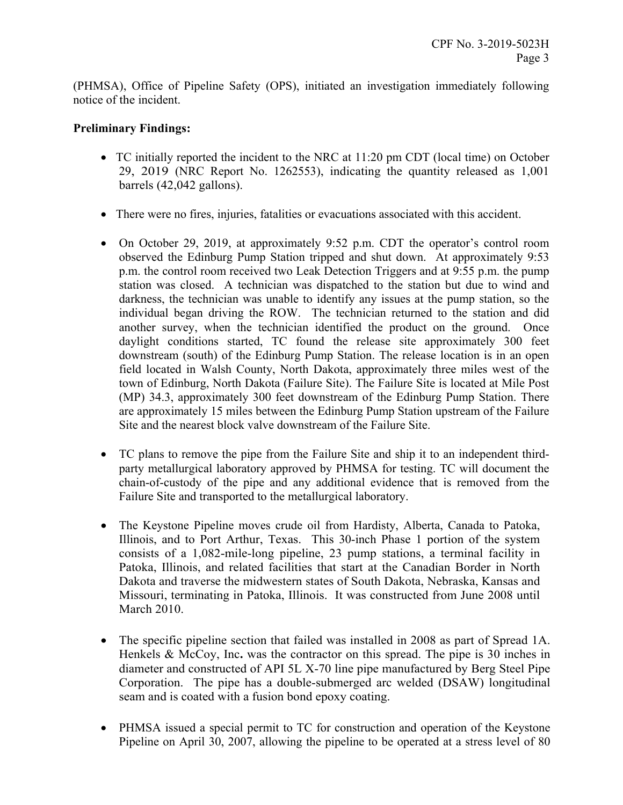(PHMSA), Office of Pipeline Safety (OPS), initiated an investigation immediately following notice of the incident.

## **Preliminary Findings:**

- TC initially reported the incident to the NRC at 11:20 pm CDT (local time) on October 29, 2019 (NRC Report No. 1262553), indicating the quantity released as 1,001 barrels (42,042 gallons).
- There were no fires, injuries, fatalities or evacuations associated with this accident.
- On October 29, 2019, at approximately 9:52 p.m. CDT the operator's control room observed the Edinburg Pump Station tripped and shut down. At approximately 9:53 p.m. the control room received two Leak Detection Triggers and at 9:55 p.m. the pump station was closed. A technician was dispatched to the station but due to wind and darkness, the technician was unable to identify any issues at the pump station, so the individual began driving the ROW. The technician returned to the station and did another survey, when the technician identified the product on the ground. Once daylight conditions started, TC found the release site approximately 300 feet downstream (south) of the Edinburg Pump Station. The release location is in an open field located in Walsh County, North Dakota, approximately three miles west of the town of Edinburg, North Dakota (Failure Site). The Failure Site is located at Mile Post (MP) 34.3, approximately 300 feet downstream of the Edinburg Pump Station. There are approximately 15 miles between the Edinburg Pump Station upstream of the Failure Site and the nearest block valve downstream of the Failure Site.
- TC plans to remove the pipe from the Failure Site and ship it to an independent thirdparty metallurgical laboratory approved by PHMSA for testing. TC will document the chain-of-custody of the pipe and any additional evidence that is removed from the Failure Site and transported to the metallurgical laboratory.
- The Keystone Pipeline moves crude oil from Hardisty, Alberta, Canada to Patoka, Illinois, and to Port Arthur, Texas. This 30-inch Phase 1 portion of the system consists of a 1,082-mile-long pipeline, 23 pump stations, a terminal facility in Patoka, Illinois, and related facilities that start at the Canadian Border in North Dakota and traverse the midwestern states of South Dakota, Nebraska, Kansas and Missouri, terminating in Patoka, Illinois. It was constructed from June 2008 until March 2010.
- The specific pipeline section that failed was installed in 2008 as part of Spread 1A. Henkels & McCoy, Inc**.** was the contractor on this spread. The pipe is 30 inches in diameter and constructed of API 5L X-70 line pipe manufactured by Berg Steel Pipe Corporation. The pipe has a double-submerged arc welded (DSAW) longitudinal seam and is coated with a fusion bond epoxy coating.
- PHMSA issued a special permit to TC for construction and operation of the Keystone Pipeline on April 30, 2007, allowing the pipeline to be operated at a stress level of 80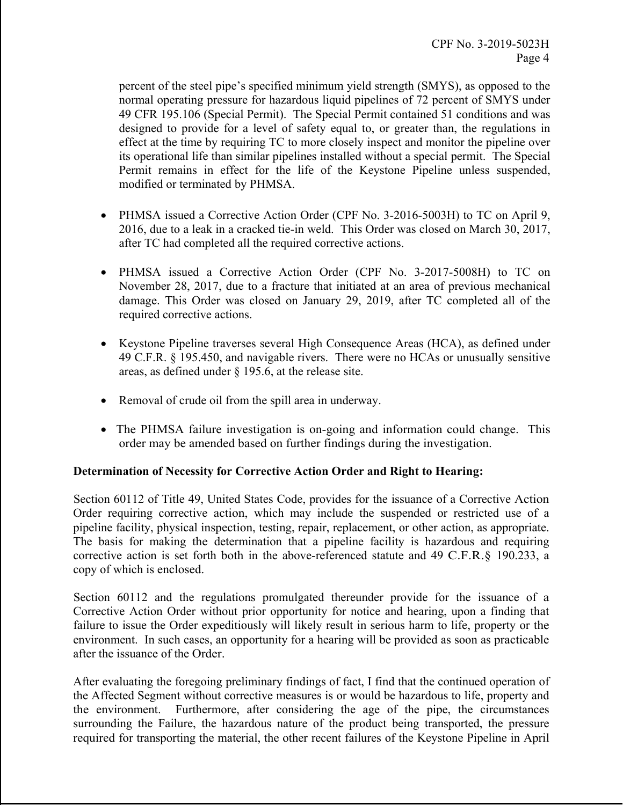percent of the steel pipe's specified minimum yield strength (SMYS), as opposed to the normal operating pressure for hazardous liquid pipelines of 72 percent of SMYS under 49 CFR 195.106 (Special Permit). The Special Permit contained 51 conditions and was designed to provide for a level of safety equal to, or greater than, the regulations in effect at the time by requiring TC to more closely inspect and monitor the pipeline over its operational life than similar pipelines installed without a special permit. The Special Permit remains in effect for the life of the Keystone Pipeline unless suspended, modified or terminated by PHMSA.

- PHMSA issued a Corrective Action Order (CPF No. 3-2016-5003H) to TC on April 9, 2016, due to a leak in a cracked tie-in weld. This Order was closed on March 30, 2017, after TC had completed all the required corrective actions.
- PHMSA issued a Corrective Action Order (CPF No. 3-2017-5008H) to TC on November 28, 2017, due to a fracture that initiated at an area of previous mechanical damage. This Order was closed on January 29, 2019, after TC completed all of the required corrective actions.
- Keystone Pipeline traverses several High Consequence Areas (HCA), as defined under 49 C.F.R. § 195.450, and navigable rivers. There were no HCAs or unusually sensitive areas, as defined under § 195.6, at the release site.
- Removal of crude oil from the spill area in underway.
- The PHMSA failure investigation is on-going and information could change. This order may be amended based on further findings during the investigation.

### **Determination of Necessity for Corrective Action Order and Right to Hearing:**

Section 60112 of Title 49, United States Code, provides for the issuance of a Corrective Action Order requiring corrective action, which may include the suspended or restricted use of a pipeline facility, physical inspection, testing, repair, replacement, or other action, as appropriate. The basis for making the determination that a pipeline facility is hazardous and requiring corrective action is set forth both in the above-referenced statute and 49 C.F.R.§ 190.233, a copy of which is enclosed.

Section 60112 and the regulations promulgated thereunder provide for the issuance of a Corrective Action Order without prior opportunity for notice and hearing, upon a finding that failure to issue the Order expeditiously will likely result in serious harm to life, property or the environment. In such cases, an opportunity for a hearing will be provided as soon as practicable after the issuance of the Order.

After evaluating the foregoing preliminary findings of fact, I find that the continued operation of the Affected Segment without corrective measures is or would be hazardous to life, property and the environment. Furthermore, after considering the age of the pipe, the circumstances surrounding the Failure, the hazardous nature of the product being transported, the pressure required for transporting the material, the other recent failures of the Keystone Pipeline in April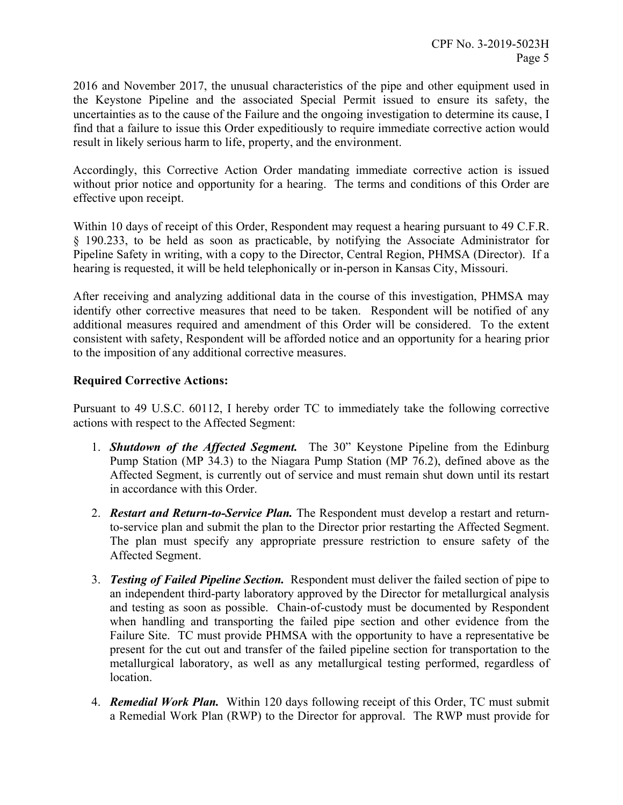2016 and November 2017, the unusual characteristics of the pipe and other equipment used in the Keystone Pipeline and the associated Special Permit issued to ensure its safety, the uncertainties as to the cause of the Failure and the ongoing investigation to determine its cause, I find that a failure to issue this Order expeditiously to require immediate corrective action would result in likely serious harm to life, property, and the environment.

Accordingly, this Corrective Action Order mandating immediate corrective action is issued without prior notice and opportunity for a hearing. The terms and conditions of this Order are effective upon receipt.

Within 10 days of receipt of this Order, Respondent may request a hearing pursuant to 49 C.F.R. § 190.233, to be held as soon as practicable, by notifying the Associate Administrator for Pipeline Safety in writing, with a copy to the Director, Central Region, PHMSA (Director). If a hearing is requested, it will be held telephonically or in-person in Kansas City, Missouri.

After receiving and analyzing additional data in the course of this investigation, PHMSA may identify other corrective measures that need to be taken. Respondent will be notified of any additional measures required and amendment of this Order will be considered. To the extent consistent with safety, Respondent will be afforded notice and an opportunity for a hearing prior to the imposition of any additional corrective measures.

## **Required Corrective Actions:**

Pursuant to 49 U.S.C. 60112, I hereby order TC to immediately take the following corrective actions with respect to the Affected Segment:

- 1. *Shutdown of the Affected Segment.* The 30" Keystone Pipeline from the Edinburg Pump Station (MP 34.3) to the Niagara Pump Station (MP 76.2), defined above as the Affected Segment, is currently out of service and must remain shut down until its restart in accordance with this Order.
- to-service plan and submit the plan to the Director prior restarting the Affected Segment. 2. *Restart and Return-to-Service Plan.* The Respondent must develop a restart and return-The plan must specify any appropriate pressure restriction to ensure safety of the Affected Segment.
- 3. *Testing of Failed Pipeline Section.* Respondent must deliver the failed section of pipe to an independent third-party laboratory approved by the Director for metallurgical analysis and testing as soon as possible. Chain-of-custody must be documented by Respondent when handling and transporting the failed pipe section and other evidence from the Failure Site. TC must provide PHMSA with the opportunity to have a representative be present for the cut out and transfer of the failed pipeline section for transportation to the metallurgical laboratory, as well as any metallurgical testing performed, regardless of location.
- 4. *Remedial Work Plan.* Within 120 days following receipt of this Order, TC must submit a Remedial Work Plan (RWP) to the Director for approval. The RWP must provide for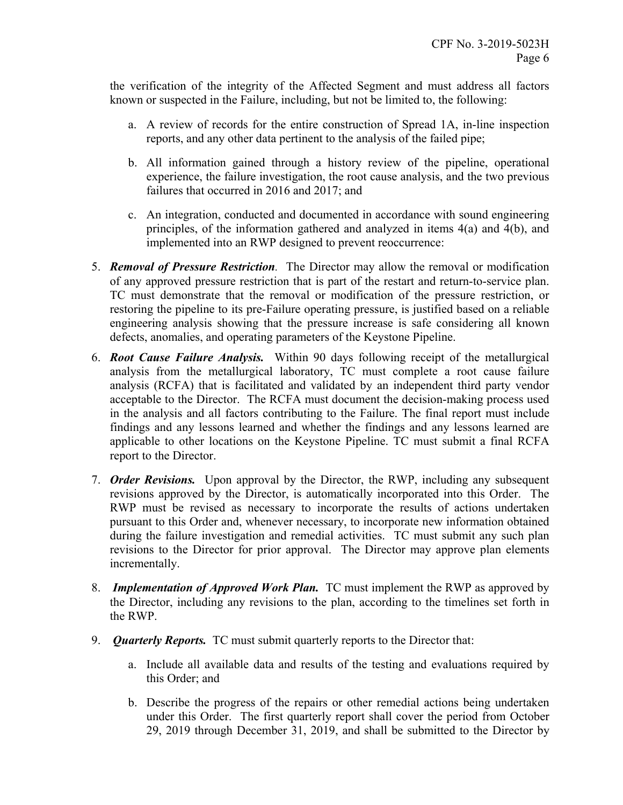the verification of the integrity of the Affected Segment and must address all factors known or suspected in the Failure, including, but not be limited to, the following:

- a. A review of records for the entire construction of Spread 1A, in-line inspection reports, and any other data pertinent to the analysis of the failed pipe;
- b. All information gained through a history review of the pipeline, operational experience, the failure investigation, the root cause analysis, and the two previous failures that occurred in 2016 and 2017; and
- c. An integration, conducted and documented in accordance with sound engineering principles, of the information gathered and analyzed in items 4(a) and 4(b), and implemented into an RWP designed to prevent reoccurrence:
- 5. *Removal of Pressure Restriction.* The Director may allow the removal or modification of any approved pressure restriction that is part of the restart and return-to-service plan. TC must demonstrate that the removal or modification of the pressure restriction, or restoring the pipeline to its pre-Failure operating pressure, is justified based on a reliable engineering analysis showing that the pressure increase is safe considering all known defects, anomalies, and operating parameters of the Keystone Pipeline.
- 6. *Root Cause Failure Analysis.* Within 90 days following receipt of the metallurgical analysis from the metallurgical laboratory, TC must complete a root cause failure analysis (RCFA) that is facilitated and validated by an independent third party vendor acceptable to the Director. The RCFA must document the decision-making process used in the analysis and all factors contributing to the Failure. The final report must include findings and any lessons learned and whether the findings and any lessons learned are applicable to other locations on the Keystone Pipeline. TC must submit a final RCFA report to the Director.
- 7. *Order Revisions.* Upon approval by the Director, the RWP, including any subsequent revisions approved by the Director, is automatically incorporated into this Order. The RWP must be revised as necessary to incorporate the results of actions undertaken pursuant to this Order and, whenever necessary, to incorporate new information obtained during the failure investigation and remedial activities. TC must submit any such plan revisions to the Director for prior approval. The Director may approve plan elements incrementally.
- 8. *Implementation of Approved Work Plan.* TC must implement the RWP as approved by the Director, including any revisions to the plan, according to the timelines set forth in the RWP.
- 9. *Quarterly Reports.* TC must submit quarterly reports to the Director that:
	- a. Include all available data and results of the testing and evaluations required by this Order; and
	- b. Describe the progress of the repairs or other remedial actions being undertaken under this Order. The first quarterly report shall cover the period from October 29, 2019 through December 31, 2019, and shall be submitted to the Director by